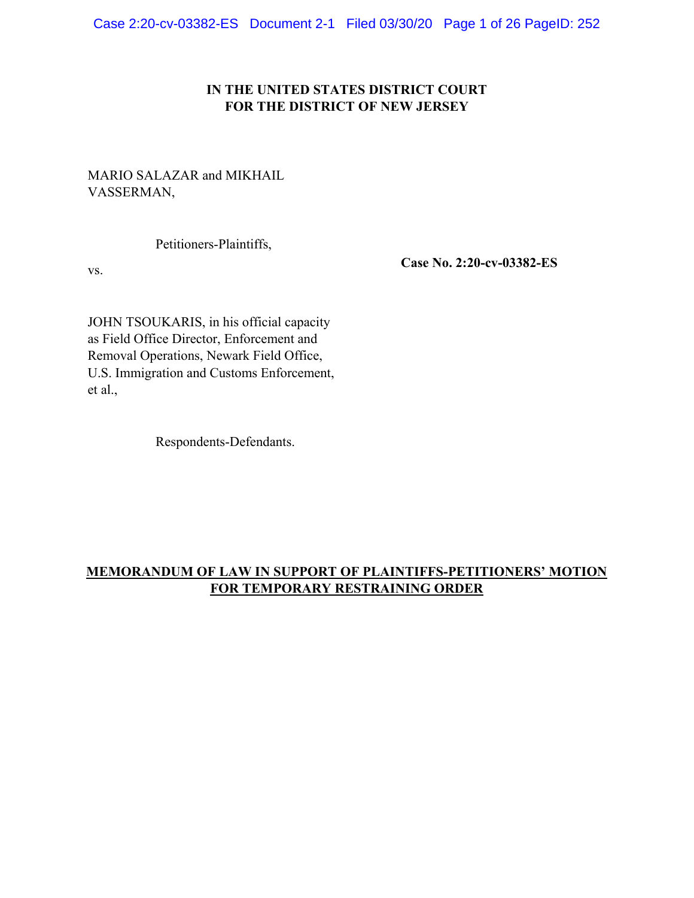## **IN THE UNITED STATES DISTRICT COURT FOR THE DISTRICT OF NEW JERSEY**

## MARIO SALAZAR and MIKHAIL VASSERMAN,

Petitioners-Plaintiffs,

vs.

**Case No. 2:20-cv-03382-ES** 

JOHN TSOUKARIS, in his official capacity as Field Office Director, Enforcement and Removal Operations, Newark Field Office, U.S. Immigration and Customs Enforcement, et al.,

Respondents-Defendants.

# **MEMORANDUM OF LAW IN SUPPORT OF PLAINTIFFS-PETITIONERS' MOTION FOR TEMPORARY RESTRAINING ORDER**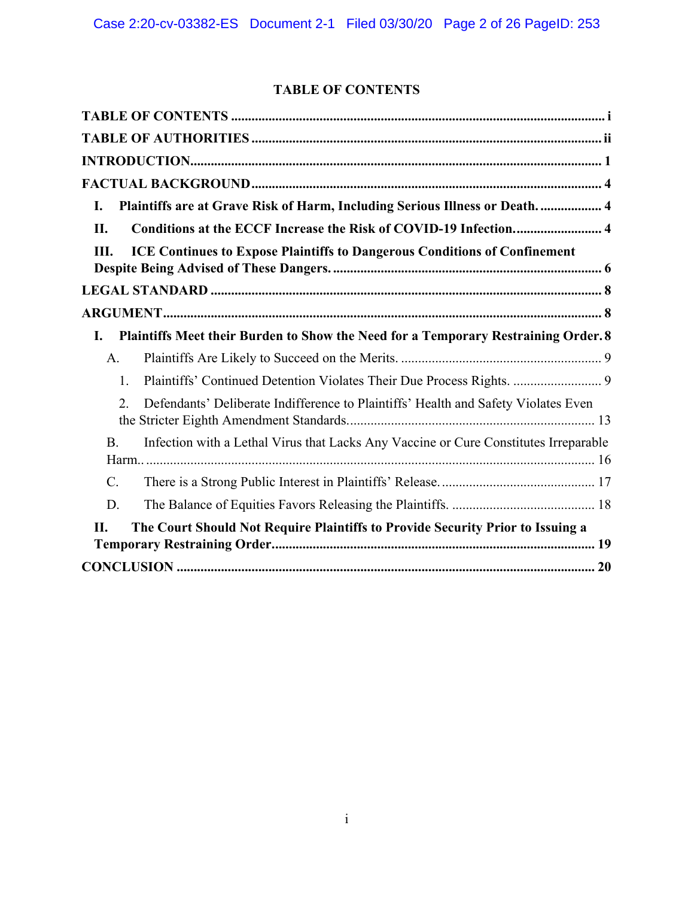# **TABLE OF CONTENTS**

| I.                                                                                       | Plaintiffs are at Grave Risk of Harm, Including Serious Illness or Death.  4         |  |
|------------------------------------------------------------------------------------------|--------------------------------------------------------------------------------------|--|
| II.                                                                                      | Conditions at the ECCF Increase the Risk of COVID-19 Infection 4                     |  |
| III.                                                                                     | <b>ICE Continues to Expose Plaintiffs to Dangerous Conditions of Confinement</b>     |  |
|                                                                                          |                                                                                      |  |
|                                                                                          |                                                                                      |  |
| Plaintiffs Meet their Burden to Show the Need for a Temporary Restraining Order. 8<br>I. |                                                                                      |  |
| A.                                                                                       |                                                                                      |  |
| 1.                                                                                       | Plaintiffs' Continued Detention Violates Their Due Process Rights.  9                |  |
| 2.                                                                                       | Defendants' Deliberate Indifference to Plaintiffs' Health and Safety Violates Even   |  |
| <b>B.</b>                                                                                | Infection with a Lethal Virus that Lacks Any Vaccine or Cure Constitutes Irreparable |  |
| $\mathcal{C}$ .                                                                          |                                                                                      |  |
| D.                                                                                       |                                                                                      |  |
| II.                                                                                      | The Court Should Not Require Plaintiffs to Provide Security Prior to Issuing a       |  |
|                                                                                          |                                                                                      |  |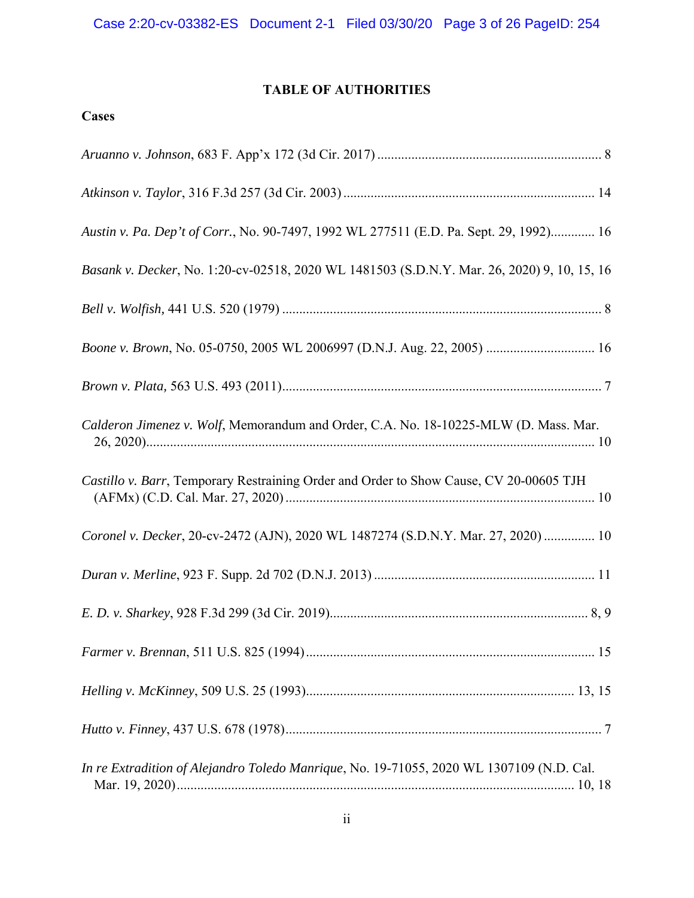# **TABLE OF AUTHORITIES**

# **Cases**

| Austin v. Pa. Dep't of Corr., No. 90-7497, 1992 WL 277511 (E.D. Pa. Sept. 29, 1992) 16      |
|---------------------------------------------------------------------------------------------|
| Basank v. Decker, No. 1:20-cv-02518, 2020 WL 1481503 (S.D.N.Y. Mar. 26, 2020) 9, 10, 15, 16 |
|                                                                                             |
| Boone v. Brown, No. 05-0750, 2005 WL 2006997 (D.N.J. Aug. 22, 2005)  16                     |
|                                                                                             |
| Calderon Jimenez v. Wolf, Memorandum and Order, C.A. No. 18-10225-MLW (D. Mass. Mar.        |
| Castillo v. Barr, Temporary Restraining Order and Order to Show Cause, CV 20-00605 TJH      |
| Coronel v. Decker, 20-cv-2472 (AJN), 2020 WL 1487274 (S.D.N.Y. Mar. 27, 2020)  10           |
|                                                                                             |
|                                                                                             |
|                                                                                             |
|                                                                                             |
|                                                                                             |
| In re Extradition of Alejandro Toledo Manrique, No. 19-71055, 2020 WL 1307109 (N.D. Cal.    |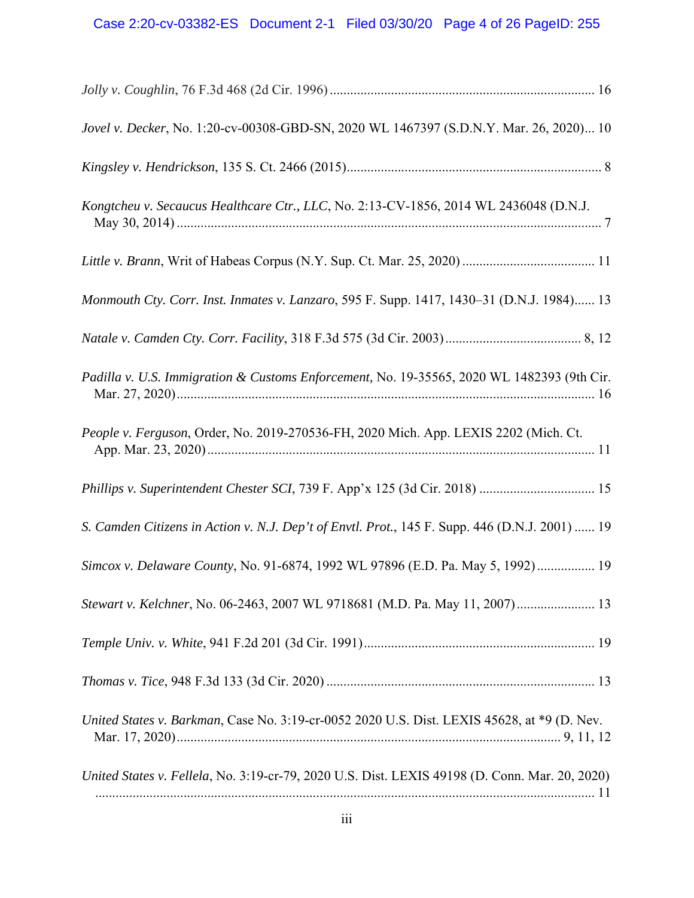| Jovel v. Decker, No. 1:20-cv-00308-GBD-SN, 2020 WL 1467397 (S.D.N.Y. Mar. 26, 2020) 10         |
|------------------------------------------------------------------------------------------------|
|                                                                                                |
| Kongtcheu v. Secaucus Healthcare Ctr., LLC, No. 2:13-CV-1856, 2014 WL 2436048 (D.N.J.          |
|                                                                                                |
| Monmouth Cty. Corr. Inst. Inmates v. Lanzaro, 595 F. Supp. 1417, 1430–31 (D.N.J. 1984) 13      |
|                                                                                                |
| Padilla v. U.S. Immigration & Customs Enforcement, No. 19-35565, 2020 WL 1482393 (9th Cir.     |
| People v. Ferguson, Order, No. 2019-270536-FH, 2020 Mich. App. LEXIS 2202 (Mich. Ct.           |
| Phillips v. Superintendent Chester SCI, 739 F. App'x 125 (3d Cir. 2018)  15                    |
| S. Camden Citizens in Action v. N.J. Dep't of Envtl. Prot., 145 F. Supp. 446 (D.N.J. 2001)  19 |
| Simcox v. Delaware County, No. 91-6874, 1992 WL 97896 (E.D. Pa. May 5, 1992)  19               |
| Stewart v. Kelchner, No. 06-2463, 2007 WL 9718681 (M.D. Pa. May 11, 2007) 13                   |
|                                                                                                |
|                                                                                                |
| United States v. Barkman, Case No. 3:19-cr-0052 2020 U.S. Dist. LEXIS 45628, at *9 (D. Nev.    |
| United States v. Fellela, No. 3:19-cr-79, 2020 U.S. Dist. LEXIS 49198 (D. Conn. Mar. 20, 2020) |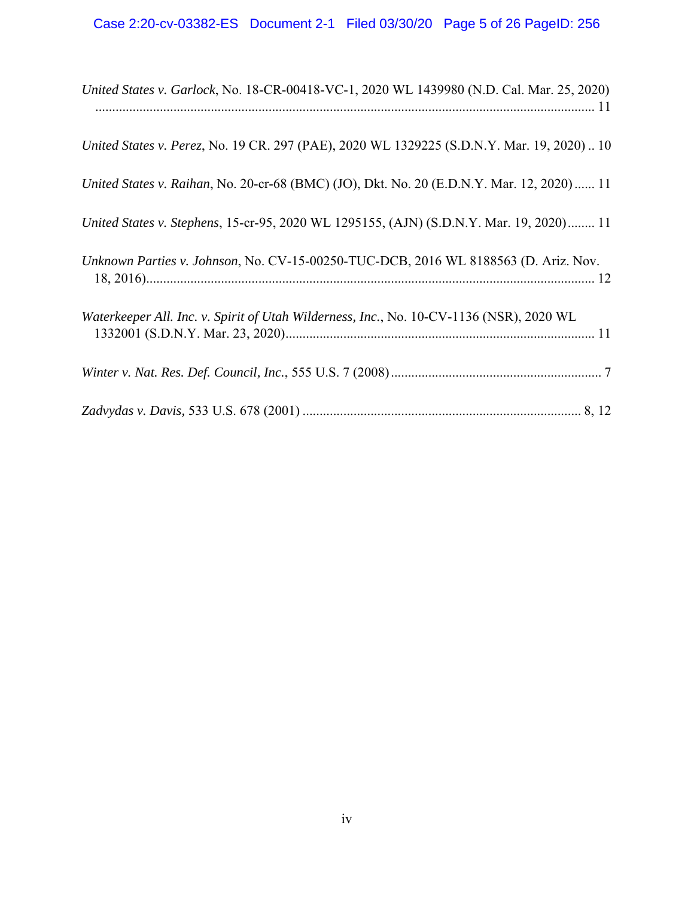| United States v. Garlock, No. 18-CR-00418-VC-1, 2020 WL 1439980 (N.D. Cal. Mar. 25, 2020) |
|-------------------------------------------------------------------------------------------|
| United States v. Perez, No. 19 CR. 297 (PAE), 2020 WL 1329225 (S.D.N.Y. Mar. 19, 2020) 10 |
| United States v. Raihan, No. 20-cr-68 (BMC) (JO), Dkt. No. 20 (E.D.N.Y. Mar. 12, 2020) 11 |
| United States v. Stephens, 15-cr-95, 2020 WL 1295155, (AJN) (S.D.N.Y. Mar. 19, 2020) 11   |
| Unknown Parties v. Johnson, No. CV-15-00250-TUC-DCB, 2016 WL 8188563 (D. Ariz. Nov.       |
| Waterkeeper All. Inc. v. Spirit of Utah Wilderness, Inc., No. 10-CV-1136 (NSR), 2020 WL   |
|                                                                                           |
|                                                                                           |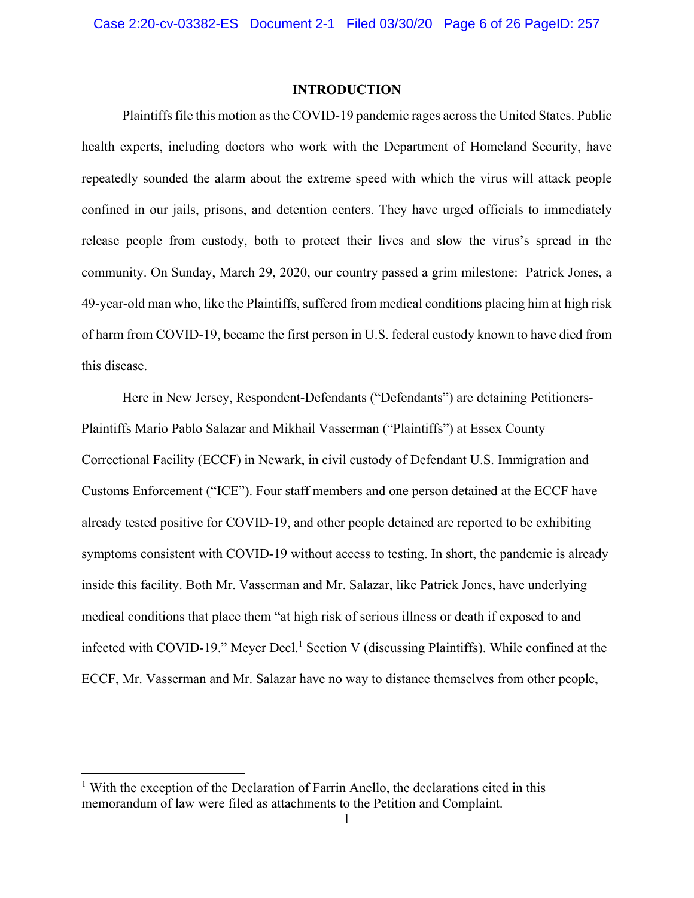## **INTRODUCTION**

Plaintiffs file this motion as the COVID-19 pandemic rages across the United States. Public health experts, including doctors who work with the Department of Homeland Security, have repeatedly sounded the alarm about the extreme speed with which the virus will attack people confined in our jails, prisons, and detention centers. They have urged officials to immediately release people from custody, both to protect their lives and slow the virus's spread in the community. On Sunday, March 29, 2020, our country passed a grim milestone: Patrick Jones, a 49-year-old man who, like the Plaintiffs, suffered from medical conditions placing him at high risk of harm from COVID-19, became the first person in U.S. federal custody known to have died from this disease.

Here in New Jersey, Respondent-Defendants ("Defendants") are detaining Petitioners-Plaintiffs Mario Pablo Salazar and Mikhail Vasserman ("Plaintiffs") at Essex County Correctional Facility (ECCF) in Newark, in civil custody of Defendant U.S. Immigration and Customs Enforcement ("ICE"). Four staff members and one person detained at the ECCF have already tested positive for COVID-19, and other people detained are reported to be exhibiting symptoms consistent with COVID-19 without access to testing. In short, the pandemic is already inside this facility. Both Mr. Vasserman and Mr. Salazar, like Patrick Jones, have underlying medical conditions that place them "at high risk of serious illness or death if exposed to and infected with COVID-19." Meyer Decl.<sup>1</sup> Section V (discussing Plaintiffs). While confined at the ECCF, Mr. Vasserman and Mr. Salazar have no way to distance themselves from other people,

<sup>&</sup>lt;sup>1</sup> With the exception of the Declaration of Farrin Anello, the declarations cited in this memorandum of law were filed as attachments to the Petition and Complaint.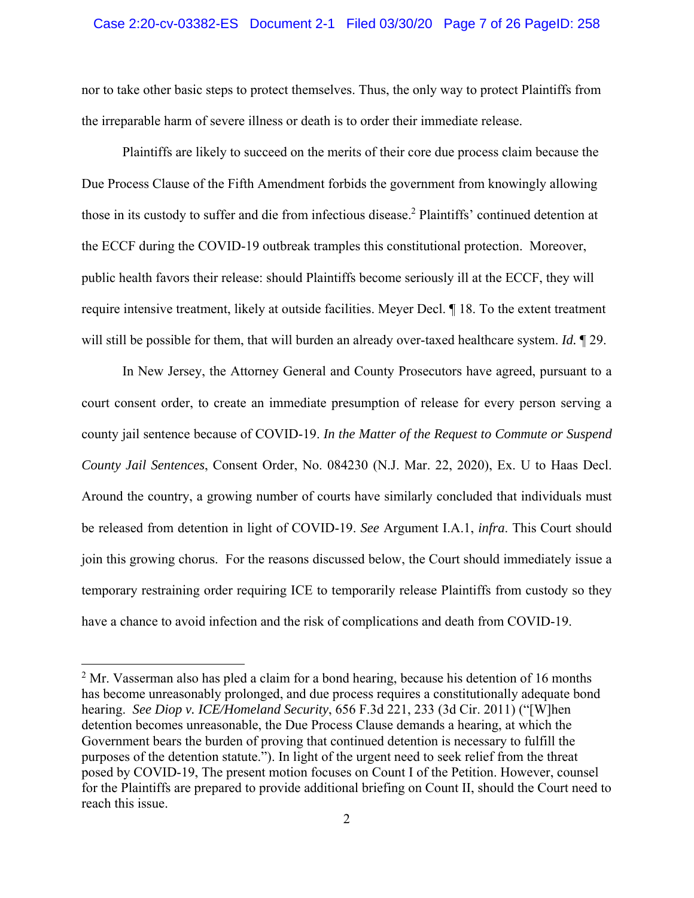#### Case 2:20-cv-03382-ES Document 2-1 Filed 03/30/20 Page 7 of 26 PageID: 258

nor to take other basic steps to protect themselves. Thus, the only way to protect Plaintiffs from the irreparable harm of severe illness or death is to order their immediate release.

Plaintiffs are likely to succeed on the merits of their core due process claim because the Due Process Clause of the Fifth Amendment forbids the government from knowingly allowing those in its custody to suffer and die from infectious disease.<sup>2</sup> Plaintiffs' continued detention at the ECCF during the COVID-19 outbreak tramples this constitutional protection. Moreover, public health favors their release: should Plaintiffs become seriously ill at the ECCF, they will require intensive treatment, likely at outside facilities. Meyer Decl. ¶ 18. To the extent treatment will still be possible for them, that will burden an already over-taxed healthcare system. *Id.* ¶ 29.

In New Jersey, the Attorney General and County Prosecutors have agreed, pursuant to a court consent order, to create an immediate presumption of release for every person serving a county jail sentence because of COVID-19. *In the Matter of the Request to Commute or Suspend County Jail Sentences*, Consent Order, No. 084230 (N.J. Mar. 22, 2020), Ex. U to Haas Decl. Around the country, a growing number of courts have similarly concluded that individuals must be released from detention in light of COVID-19. *See* Argument I.A.1, *infra*. This Court should join this growing chorus. For the reasons discussed below, the Court should immediately issue a temporary restraining order requiring ICE to temporarily release Plaintiffs from custody so they have a chance to avoid infection and the risk of complications and death from COVID-19.

 $2^2$  Mr. Vasserman also has pled a claim for a bond hearing, because his detention of 16 months has become unreasonably prolonged, and due process requires a constitutionally adequate bond hearing. *See Diop v. ICE/Homeland Security*, 656 F.3d 221, 233 (3d Cir. 2011) ("[W]hen detention becomes unreasonable, the Due Process Clause demands a hearing, at which the Government bears the burden of proving that continued detention is necessary to fulfill the purposes of the detention statute."). In light of the urgent need to seek relief from the threat posed by COVID-19, The present motion focuses on Count I of the Petition. However, counsel for the Plaintiffs are prepared to provide additional briefing on Count II, should the Court need to reach this issue.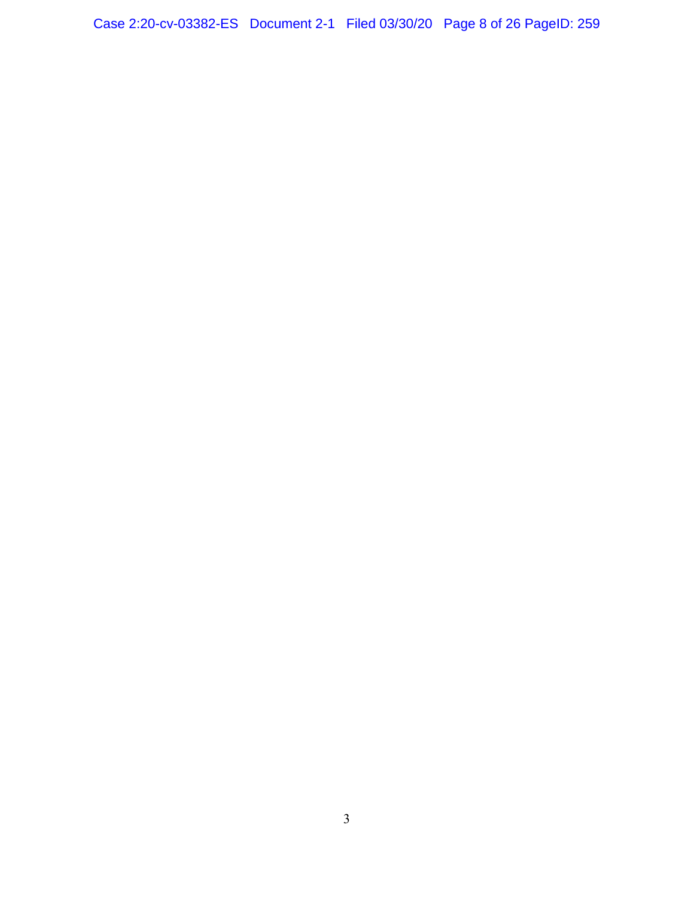Case 2:20-cv-03382-ES Document 2-1 Filed 03/30/20 Page 8 of 26 PageID: 259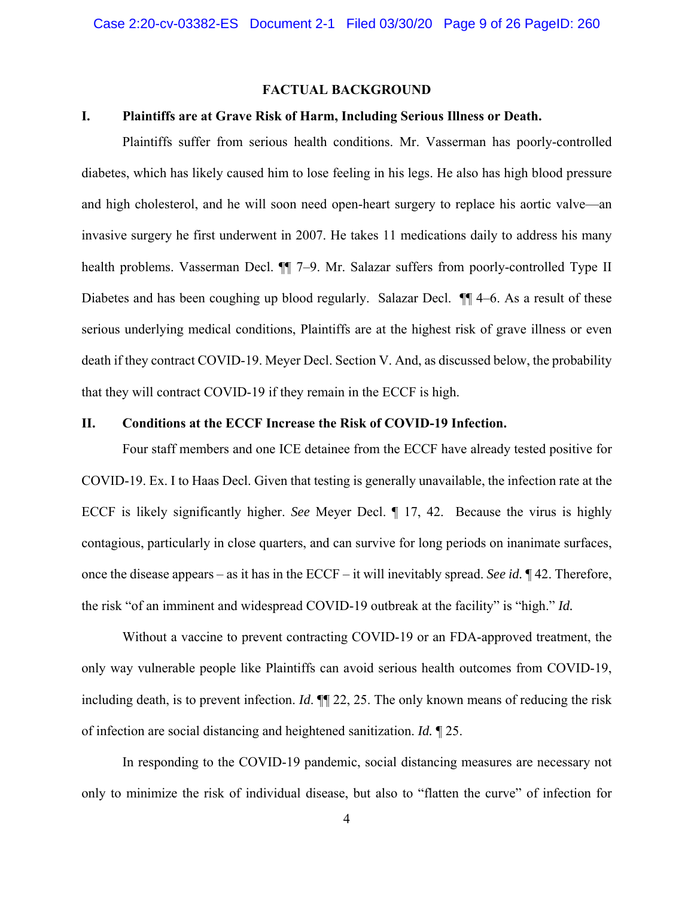## **FACTUAL BACKGROUND**

## **I. Plaintiffs are at Grave Risk of Harm, Including Serious Illness or Death.**

Plaintiffs suffer from serious health conditions. Mr. Vasserman has poorly-controlled diabetes, which has likely caused him to lose feeling in his legs. He also has high blood pressure and high cholesterol, and he will soon need open-heart surgery to replace his aortic valve—an invasive surgery he first underwent in 2007. He takes 11 medications daily to address his many health problems. Vasserman Decl.  $\P$  7–9. Mr. Salazar suffers from poorly-controlled Type II Diabetes and has been coughing up blood regularly. Salazar Decl.  $\P$  4–6. As a result of these serious underlying medical conditions, Plaintiffs are at the highest risk of grave illness or even death if they contract COVID-19. Meyer Decl. Section V. And, as discussed below, the probability that they will contract COVID-19 if they remain in the ECCF is high.

## **II. Conditions at the ECCF Increase the Risk of COVID-19 Infection.**

Four staff members and one ICE detainee from the ECCF have already tested positive for COVID-19. Ex. I to Haas Decl. Given that testing is generally unavailable, the infection rate at the ECCF is likely significantly higher. *See* Meyer Decl. ¶ 17, 42. Because the virus is highly contagious, particularly in close quarters, and can survive for long periods on inanimate surfaces, once the disease appears – as it has in the ECCF – it will inevitably spread. *See id.* ¶ 42. Therefore, the risk "of an imminent and widespread COVID-19 outbreak at the facility" is "high." *Id.* 

Without a vaccine to prevent contracting COVID-19 or an FDA-approved treatment, the only way vulnerable people like Plaintiffs can avoid serious health outcomes from COVID-19, including death, is to prevent infection. *Id*. ¶¶ 22, 25. The only known means of reducing the risk of infection are social distancing and heightened sanitization. *Id.* ¶ 25.

In responding to the COVID-19 pandemic, social distancing measures are necessary not only to minimize the risk of individual disease, but also to "flatten the curve" of infection for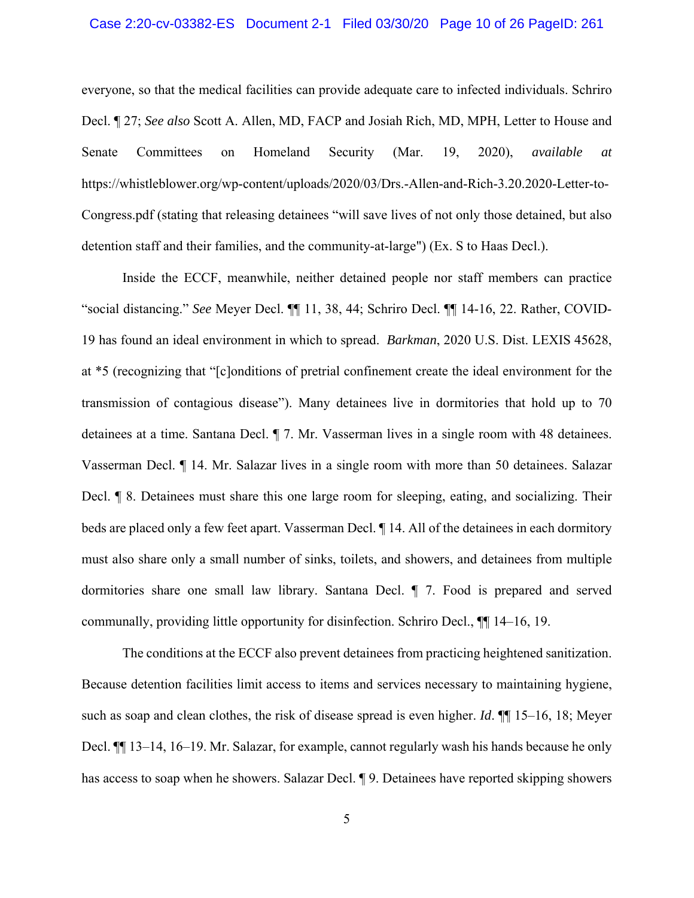everyone, so that the medical facilities can provide adequate care to infected individuals. Schriro Decl. ¶ 27; *See also* Scott A. Allen, MD, FACP and Josiah Rich, MD, MPH, Letter to House and Senate Committees on Homeland Security (Mar. 19, 2020), *available at* https://whistleblower.org/wp-content/uploads/2020/03/Drs.-Allen-and-Rich-3.20.2020-Letter-to-Congress.pdf (stating that releasing detainees "will save lives of not only those detained, but also detention staff and their families, and the community-at-large") (Ex. S to Haas Decl.).

Inside the ECCF, meanwhile, neither detained people nor staff members can practice "social distancing." *See* Meyer Decl. ¶¶ 11, 38, 44; Schriro Decl. ¶¶ 14-16, 22. Rather, COVID-19 has found an ideal environment in which to spread. *Barkman*, 2020 U.S. Dist. LEXIS 45628, at \*5 (recognizing that "[c]onditions of pretrial confinement create the ideal environment for the transmission of contagious disease"). Many detainees live in dormitories that hold up to 70 detainees at a time. Santana Decl. ¶ 7. Mr. Vasserman lives in a single room with 48 detainees. Vasserman Decl. ¶ 14. Mr. Salazar lives in a single room with more than 50 detainees. Salazar Decl. ¶ 8. Detainees must share this one large room for sleeping, eating, and socializing. Their beds are placed only a few feet apart. Vasserman Decl.  $\P$  14. All of the detainees in each dormitory must also share only a small number of sinks, toilets, and showers, and detainees from multiple dormitories share one small law library. Santana Decl. ¶ 7. Food is prepared and served communally, providing little opportunity for disinfection. Schriro Decl., ¶¶ 14–16, 19.

The conditions at the ECCF also prevent detainees from practicing heightened sanitization. Because detention facilities limit access to items and services necessary to maintaining hygiene, such as soap and clean clothes, the risk of disease spread is even higher. *Id*. ¶¶ 15–16, 18; Meyer Decl. ¶¶ 13–14, 16–19. Mr. Salazar, for example, cannot regularly wash his hands because he only has access to soap when he showers. Salazar Decl. ¶ 9. Detainees have reported skipping showers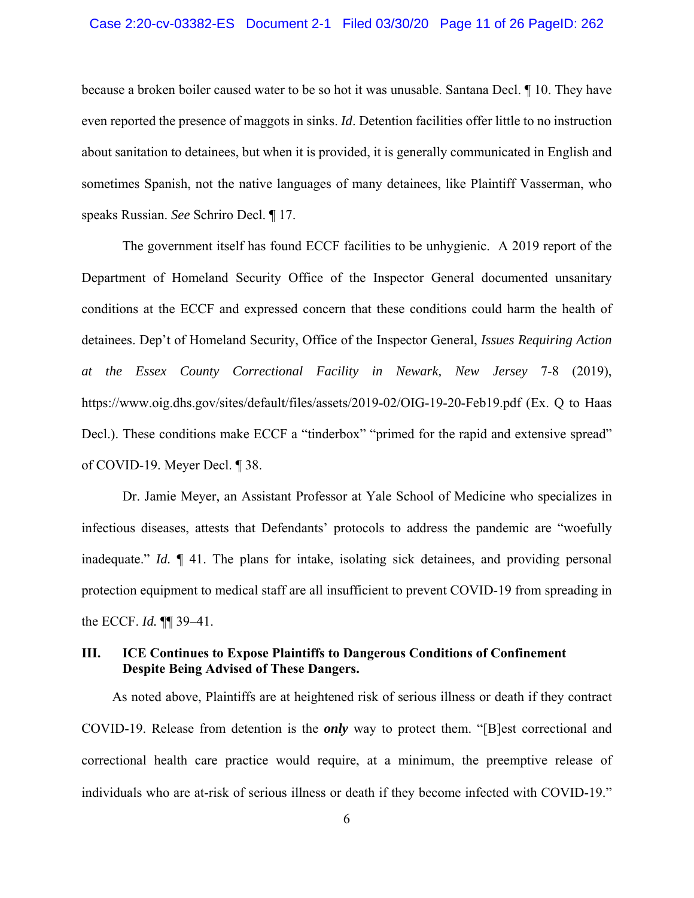## Case 2:20-cv-03382-ES Document 2-1 Filed 03/30/20 Page 11 of 26 PageID: 262

because a broken boiler caused water to be so hot it was unusable. Santana Decl. ¶ 10. They have even reported the presence of maggots in sinks. *Id*. Detention facilities offer little to no instruction about sanitation to detainees, but when it is provided, it is generally communicated in English and sometimes Spanish, not the native languages of many detainees, like Plaintiff Vasserman, who speaks Russian. *See* Schriro Decl. ¶ 17.

The government itself has found ECCF facilities to be unhygienic. A 2019 report of the Department of Homeland Security Office of the Inspector General documented unsanitary conditions at the ECCF and expressed concern that these conditions could harm the health of detainees. Dep't of Homeland Security, Office of the Inspector General, *Issues Requiring Action at the Essex County Correctional Facility in Newark, New Jersey* 7-8 (2019), https://www.oig.dhs.gov/sites/default/files/assets/2019-02/OIG-19-20-Feb19.pdf (Ex. Q to Haas Decl.). These conditions make ECCF a "tinderbox" "primed for the rapid and extensive spread" of COVID-19. Meyer Decl. ¶ 38.

Dr. Jamie Meyer, an Assistant Professor at Yale School of Medicine who specializes in infectious diseases, attests that Defendants' protocols to address the pandemic are "woefully inadequate." *Id.* ¶ 41. The plans for intake, isolating sick detainees, and providing personal protection equipment to medical staff are all insufficient to prevent COVID-19 from spreading in the ECCF. *Id.* ¶¶ 39–41.

## **III. ICE Continues to Expose Plaintiffs to Dangerous Conditions of Confinement Despite Being Advised of These Dangers.**

 As noted above, Plaintiffs are at heightened risk of serious illness or death if they contract COVID-19. Release from detention is the *only* way to protect them. "[B]est correctional and correctional health care practice would require, at a minimum, the preemptive release of individuals who are at-risk of serious illness or death if they become infected with COVID-19."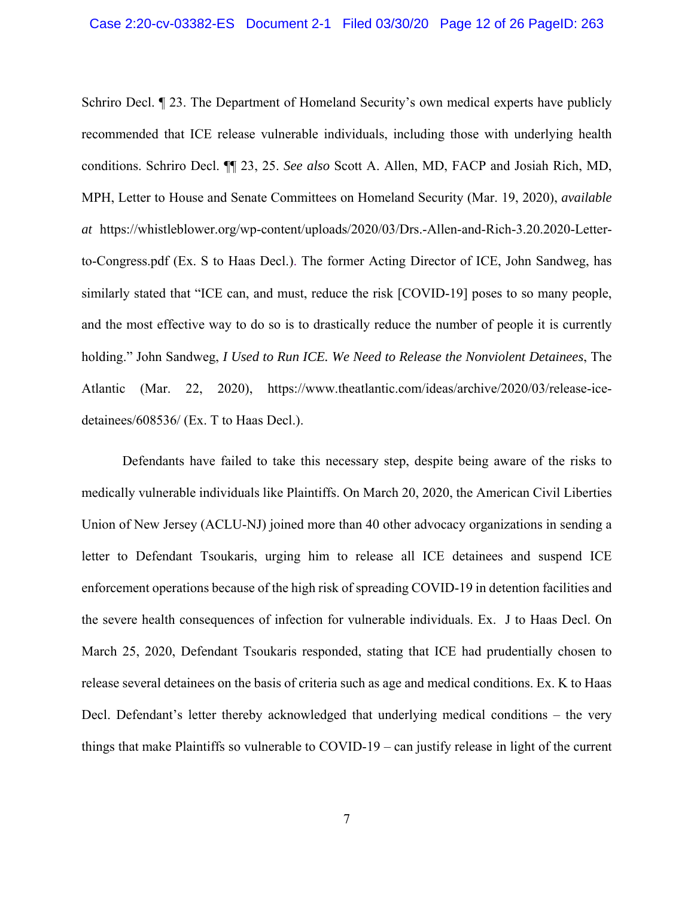Schriro Decl. ¶ 23. The Department of Homeland Security's own medical experts have publicly recommended that ICE release vulnerable individuals, including those with underlying health conditions. Schriro Decl. ¶¶ 23, 25. *See also* Scott A. Allen, MD, FACP and Josiah Rich, MD, MPH, Letter to House and Senate Committees on Homeland Security (Mar. 19, 2020), *available at* https://whistleblower.org/wp-content/uploads/2020/03/Drs.-Allen-and-Rich-3.20.2020-Letterto-Congress.pdf (Ex. S to Haas Decl.). The former Acting Director of ICE, John Sandweg, has similarly stated that "ICE can, and must, reduce the risk [COVID-19] poses to so many people, and the most effective way to do so is to drastically reduce the number of people it is currently holding." John Sandweg, *I Used to Run ICE. We Need to Release the Nonviolent Detainees*, The Atlantic (Mar. 22, 2020), https://www.theatlantic.com/ideas/archive/2020/03/release-icedetainees/608536/ (Ex. T to Haas Decl.).

Defendants have failed to take this necessary step, despite being aware of the risks to medically vulnerable individuals like Plaintiffs. On March 20, 2020, the American Civil Liberties Union of New Jersey (ACLU-NJ) joined more than 40 other advocacy organizations in sending a letter to Defendant Tsoukaris, urging him to release all ICE detainees and suspend ICE enforcement operations because of the high risk of spreading COVID-19 in detention facilities and the severe health consequences of infection for vulnerable individuals. Ex. J to Haas Decl. On March 25, 2020, Defendant Tsoukaris responded, stating that ICE had prudentially chosen to release several detainees on the basis of criteria such as age and medical conditions. Ex. K to Haas Decl. Defendant's letter thereby acknowledged that underlying medical conditions – the very things that make Plaintiffs so vulnerable to COVID-19 – can justify release in light of the current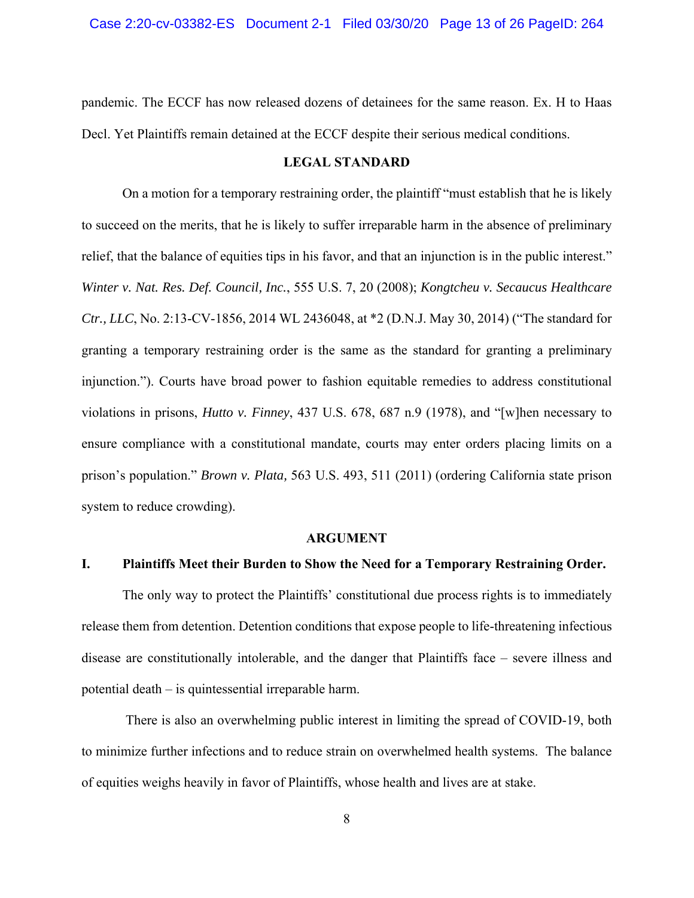pandemic. The ECCF has now released dozens of detainees for the same reason. Ex. H to Haas Decl. Yet Plaintiffs remain detained at the ECCF despite their serious medical conditions.

## **LEGAL STANDARD**

On a motion for a temporary restraining order, the plaintiff "must establish that he is likely to succeed on the merits, that he is likely to suffer irreparable harm in the absence of preliminary relief, that the balance of equities tips in his favor, and that an injunction is in the public interest." *Winter v. Nat. Res. Def. Council, Inc.*, 555 U.S. 7, 20 (2008); *Kongtcheu v. Secaucus Healthcare Ctr., LLC*, No. 2:13-CV-1856, 2014 WL 2436048, at \*2 (D.N.J. May 30, 2014) ("The standard for granting a temporary restraining order is the same as the standard for granting a preliminary injunction."). Courts have broad power to fashion equitable remedies to address constitutional violations in prisons, *Hutto v. Finney*, 437 U.S. 678, 687 n.9 (1978), and "[w]hen necessary to ensure compliance with a constitutional mandate, courts may enter orders placing limits on a prison's population." *Brown v. Plata,* 563 U.S. 493, 511 (2011) (ordering California state prison system to reduce crowding).

## **ARGUMENT**

## **I. Plaintiffs Meet their Burden to Show the Need for a Temporary Restraining Order.**

The only way to protect the Plaintiffs' constitutional due process rights is to immediately release them from detention. Detention conditions that expose people to life-threatening infectious disease are constitutionally intolerable, and the danger that Plaintiffs face – severe illness and potential death – is quintessential irreparable harm.

 There is also an overwhelming public interest in limiting the spread of COVID-19, both to minimize further infections and to reduce strain on overwhelmed health systems. The balance of equities weighs heavily in favor of Plaintiffs, whose health and lives are at stake.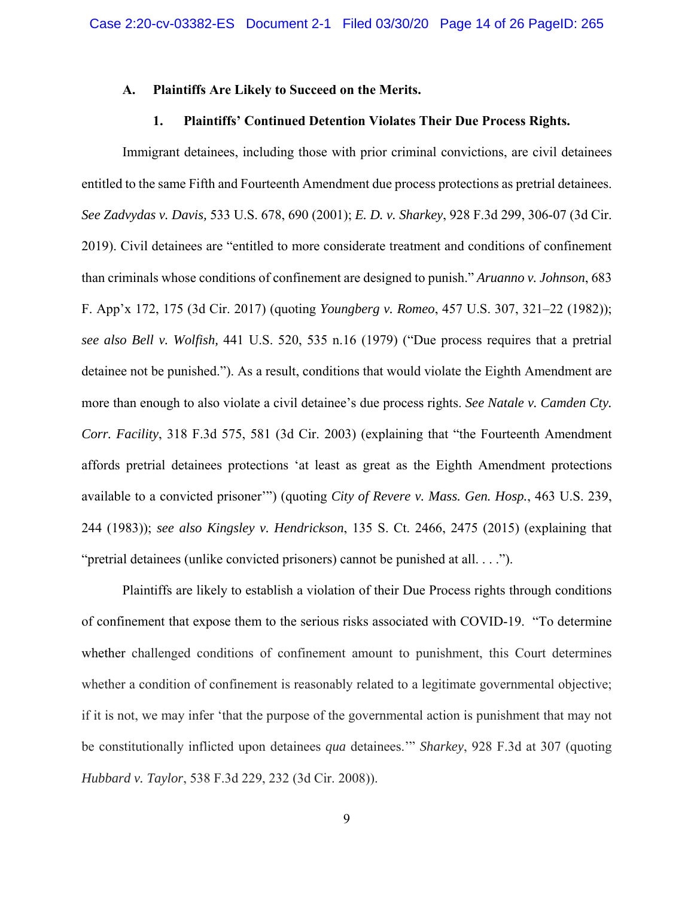## **A. Plaintiffs Are Likely to Succeed on the Merits.**

## **1. Plaintiffs' Continued Detention Violates Their Due Process Rights.**

Immigrant detainees, including those with prior criminal convictions, are civil detainees entitled to the same Fifth and Fourteenth Amendment due process protections as pretrial detainees. *See Zadvydas v. Davis,* 533 U.S. 678, 690 (2001); *E. D. v. Sharkey*, 928 F.3d 299, 306-07 (3d Cir. 2019). Civil detainees are "entitled to more considerate treatment and conditions of confinement than criminals whose conditions of confinement are designed to punish." *Aruanno v. Johnson*, 683 F. App'x 172, 175 (3d Cir. 2017) (quoting *Youngberg v. Romeo*, 457 U.S. 307, 321–22 (1982)); *see also Bell v. Wolfish,* 441 U.S. 520, 535 n.16 (1979) ("Due process requires that a pretrial detainee not be punished."). As a result, conditions that would violate the Eighth Amendment are more than enough to also violate a civil detainee's due process rights. *See Natale v. Camden Cty. Corr. Facility*, 318 F.3d 575, 581 (3d Cir. 2003) (explaining that "the Fourteenth Amendment affords pretrial detainees protections 'at least as great as the Eighth Amendment protections available to a convicted prisoner'") (quoting *City of Revere v. Mass. Gen. Hosp.*, 463 U.S. 239, 244 (1983)); *see also Kingsley v. Hendrickson*, 135 S. Ct. 2466, 2475 (2015) (explaining that "pretrial detainees (unlike convicted prisoners) cannot be punished at all. . . .").

Plaintiffs are likely to establish a violation of their Due Process rights through conditions of confinement that expose them to the serious risks associated with COVID-19. "To determine whether challenged conditions of confinement amount to punishment, this Court determines whether a condition of confinement is reasonably related to a legitimate governmental objective; if it is not, we may infer 'that the purpose of the governmental action is punishment that may not be constitutionally inflicted upon detainees *qua* detainees.'" *Sharkey*, 928 F.3d at 307 (quoting *Hubbard v. Taylor*, 538 F.3d 229, 232 (3d Cir. 2008)).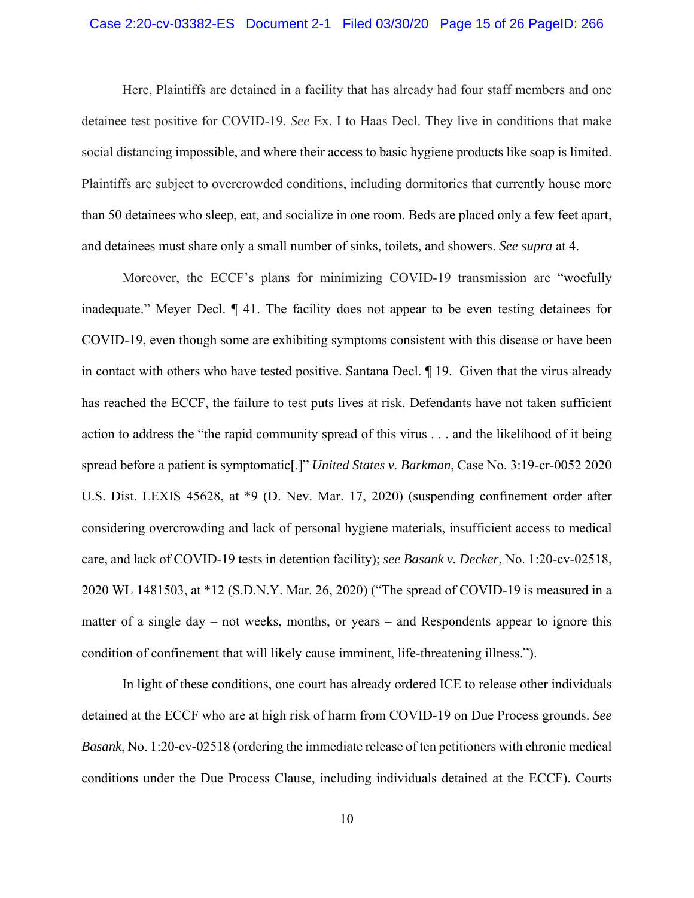## Case 2:20-cv-03382-ES Document 2-1 Filed 03/30/20 Page 15 of 26 PageID: 266

Here, Plaintiffs are detained in a facility that has already had four staff members and one detainee test positive for COVID-19. *See* Ex. I to Haas Decl. They live in conditions that make social distancing impossible, and where their access to basic hygiene products like soap is limited. Plaintiffs are subject to overcrowded conditions, including dormitories that currently house more than 50 detainees who sleep, eat, and socialize in one room. Beds are placed only a few feet apart, and detainees must share only a small number of sinks, toilets, and showers. *See supra* at 4.

Moreover, the ECCF's plans for minimizing COVID-19 transmission are "woefully inadequate." Meyer Decl. ¶ 41. The facility does not appear to be even testing detainees for COVID-19, even though some are exhibiting symptoms consistent with this disease or have been in contact with others who have tested positive. Santana Decl. ¶ 19. Given that the virus already has reached the ECCF, the failure to test puts lives at risk. Defendants have not taken sufficient action to address the "the rapid community spread of this virus . . . and the likelihood of it being spread before a patient is symptomatic[.]" *United States v. Barkman*, Case No. 3:19-cr-0052 2020 U.S. Dist. LEXIS 45628, at \*9 (D. Nev. Mar. 17, 2020) (suspending confinement order after considering overcrowding and lack of personal hygiene materials, insufficient access to medical care, and lack of COVID-19 tests in detention facility); *see Basank v. Decker*, No. 1:20-cv-02518, 2020 WL 1481503, at \*12 (S.D.N.Y. Mar. 26, 2020) ("The spread of COVID-19 is measured in a matter of a single day – not weeks, months, or years – and Respondents appear to ignore this condition of confinement that will likely cause imminent, life-threatening illness.").

In light of these conditions, one court has already ordered ICE to release other individuals detained at the ECCF who are at high risk of harm from COVID-19 on Due Process grounds. *See Basank*, No. 1:20-cv-02518 (ordering the immediate release of ten petitioners with chronic medical conditions under the Due Process Clause, including individuals detained at the ECCF). Courts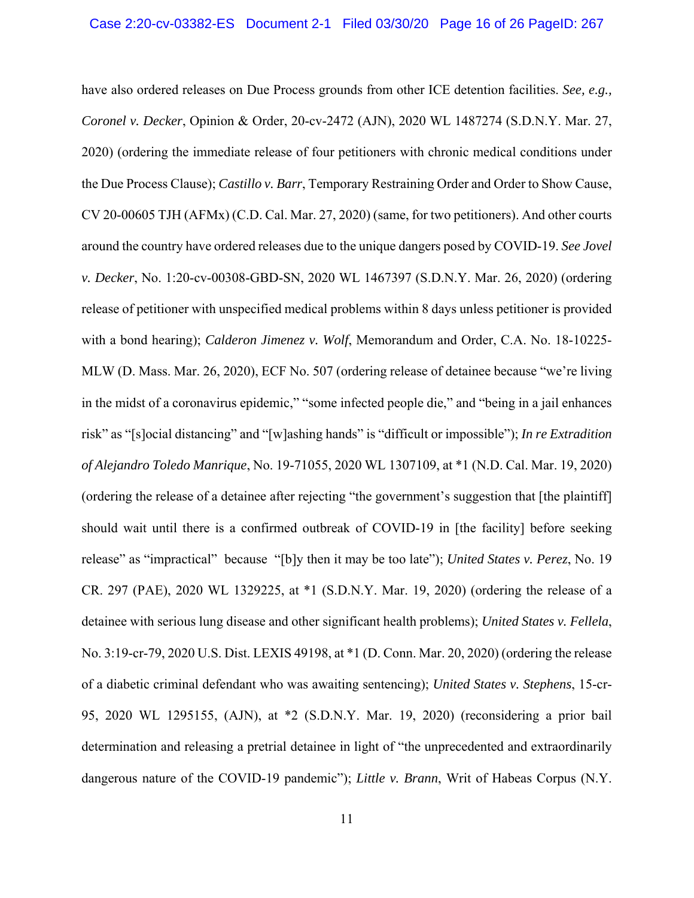have also ordered releases on Due Process grounds from other ICE detention facilities. *See, e.g., Coronel v. Decker*, Opinion & Order, 20-cv-2472 (AJN), 2020 WL 1487274 (S.D.N.Y. Mar. 27, 2020) (ordering the immediate release of four petitioners with chronic medical conditions under the Due Process Clause); *Castillo v. Barr*, Temporary Restraining Order and Order to Show Cause, CV 20-00605 TJH (AFMx) (C.D. Cal. Mar. 27, 2020) (same, for two petitioners). And other courts around the country have ordered releases due to the unique dangers posed by COVID-19. *See Jovel v. Decker*, No. 1:20-cv-00308-GBD-SN, 2020 WL 1467397 (S.D.N.Y. Mar. 26, 2020) (ordering release of petitioner with unspecified medical problems within 8 days unless petitioner is provided with a bond hearing); *Calderon Jimenez v. Wolf*, Memorandum and Order, C.A. No. 18-10225- MLW (D. Mass. Mar. 26, 2020), ECF No. 507 (ordering release of detainee because "we're living in the midst of a coronavirus epidemic," "some infected people die," and "being in a jail enhances risk" as "[s]ocial distancing" and "[w]ashing hands" is "difficult or impossible"); *In re Extradition of Alejandro Toledo Manrique*, No. 19-71055, 2020 WL 1307109, at \*1 (N.D. Cal. Mar. 19, 2020) (ordering the release of a detainee after rejecting "the government's suggestion that [the plaintiff] should wait until there is a confirmed outbreak of COVID-19 in [the facility] before seeking release" as "impractical" because "[b]y then it may be too late"); *United States v. Perez*, No. 19 CR. 297 (PAE), 2020 WL 1329225, at \*1 (S.D.N.Y. Mar. 19, 2020) (ordering the release of a detainee with serious lung disease and other significant health problems); *United States v. Fellela*, No. 3:19-cr-79, 2020 U.S. Dist. LEXIS 49198, at \*1 (D. Conn. Mar. 20, 2020) (ordering the release of a diabetic criminal defendant who was awaiting sentencing); *United States v. Stephens*, 15-cr-95, 2020 WL 1295155, (AJN), at \*2 (S.D.N.Y. Mar. 19, 2020) (reconsidering a prior bail determination and releasing a pretrial detainee in light of "the unprecedented and extraordinarily dangerous nature of the COVID-19 pandemic"); *Little v. Brann*, Writ of Habeas Corpus (N.Y.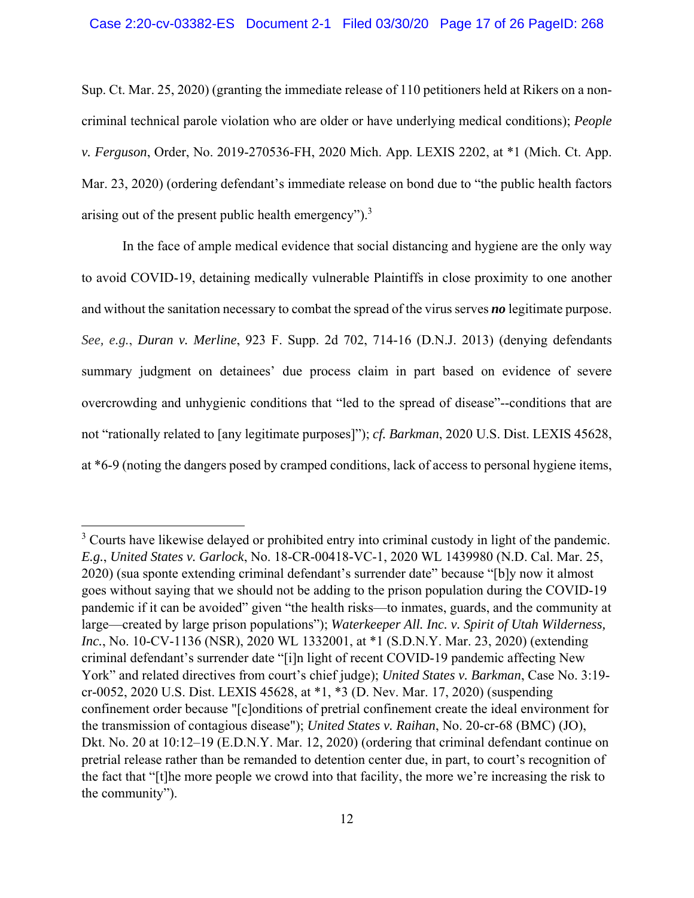Sup. Ct. Mar. 25, 2020) (granting the immediate release of 110 petitioners held at Rikers on a noncriminal technical parole violation who are older or have underlying medical conditions); *People v. Ferguson*, Order, No. 2019-270536-FH, 2020 Mich. App. LEXIS 2202, at \*1 (Mich. Ct. App. Mar. 23, 2020) (ordering defendant's immediate release on bond due to "the public health factors arising out of the present public health emergency").3

In the face of ample medical evidence that social distancing and hygiene are the only way to avoid COVID-19, detaining medically vulnerable Plaintiffs in close proximity to one another and without the sanitation necessary to combat the spread of the virus serves *no* legitimate purpose. *See, e.g.*, *Duran v. Merline*, 923 F. Supp. 2d 702, 714-16 (D.N.J. 2013) (denying defendants summary judgment on detainees' due process claim in part based on evidence of severe overcrowding and unhygienic conditions that "led to the spread of disease"--conditions that are not "rationally related to [any legitimate purposes]"); *cf. Barkman*, 2020 U.S. Dist. LEXIS 45628, at \*6-9 (noting the dangers posed by cramped conditions, lack of access to personal hygiene items,

 $3$  Courts have likewise delayed or prohibited entry into criminal custody in light of the pandemic. *E.g.*, *United States v. Garlock*, No. 18-CR-00418-VC-1, 2020 WL 1439980 (N.D. Cal. Mar. 25, 2020) (sua sponte extending criminal defendant's surrender date" because "[b]y now it almost goes without saying that we should not be adding to the prison population during the COVID-19 pandemic if it can be avoided" given "the health risks—to inmates, guards, and the community at large—created by large prison populations"); *Waterkeeper All. Inc. v. Spirit of Utah Wilderness, Inc.*, No. 10-CV-1136 (NSR), 2020 WL 1332001, at \*1 (S.D.N.Y. Mar. 23, 2020) (extending criminal defendant's surrender date "[i]n light of recent COVID-19 pandemic affecting New York" and related directives from court's chief judge); *United States v. Barkman*, Case No. 3:19 cr-0052, 2020 U.S. Dist. LEXIS 45628, at \*1, \*3 (D. Nev. Mar. 17, 2020) (suspending confinement order because "[c]onditions of pretrial confinement create the ideal environment for the transmission of contagious disease"); *United States v. Raihan*, No. 20-cr-68 (BMC) (JO), Dkt. No. 20 at 10:12–19 (E.D.N.Y. Mar. 12, 2020) (ordering that criminal defendant continue on pretrial release rather than be remanded to detention center due, in part, to court's recognition of the fact that "[t]he more people we crowd into that facility, the more we're increasing the risk to the community").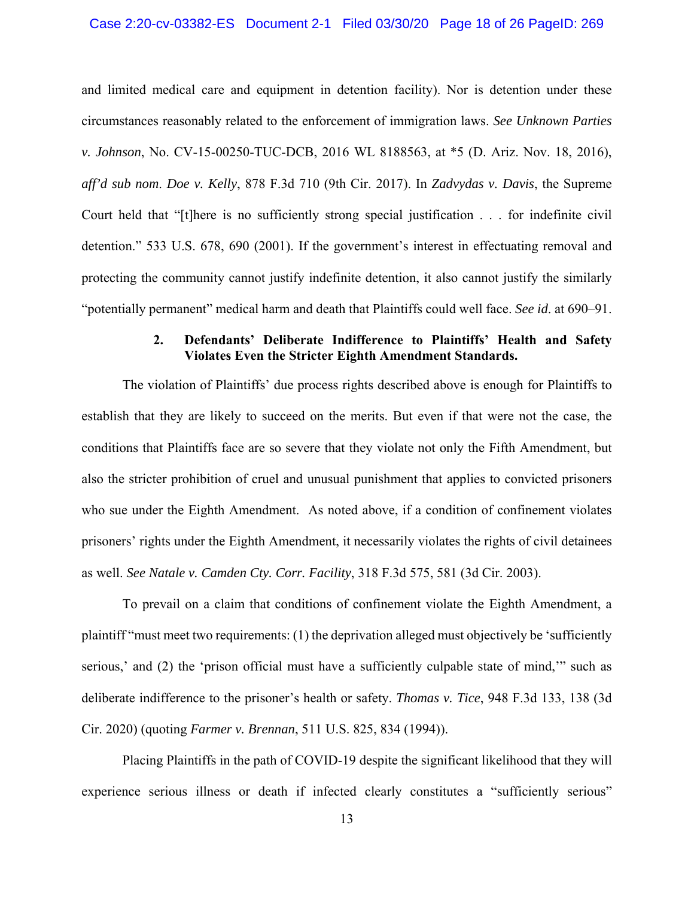## Case 2:20-cv-03382-ES Document 2-1 Filed 03/30/20 Page 18 of 26 PageID: 269

and limited medical care and equipment in detention facility). Nor is detention under these circumstances reasonably related to the enforcement of immigration laws. *See Unknown Parties v. Johnson*, No. CV-15-00250-TUC-DCB, 2016 WL 8188563, at \*5 (D. Ariz. Nov. 18, 2016), *aff'd sub nom*. *Doe v. Kelly*, 878 F.3d 710 (9th Cir. 2017). In *Zadvydas v. Davis*, the Supreme Court held that "[t]here is no sufficiently strong special justification . . . for indefinite civil detention." 533 U.S. 678, 690 (2001). If the government's interest in effectuating removal and protecting the community cannot justify indefinite detention, it also cannot justify the similarly "potentially permanent" medical harm and death that Plaintiffs could well face. *See id*. at 690–91.

## **2. Defendants' Deliberate Indifference to Plaintiffs' Health and Safety Violates Even the Stricter Eighth Amendment Standards.**

The violation of Plaintiffs' due process rights described above is enough for Plaintiffs to establish that they are likely to succeed on the merits. But even if that were not the case, the conditions that Plaintiffs face are so severe that they violate not only the Fifth Amendment, but also the stricter prohibition of cruel and unusual punishment that applies to convicted prisoners who sue under the Eighth Amendment. As noted above, if a condition of confinement violates prisoners' rights under the Eighth Amendment, it necessarily violates the rights of civil detainees as well. *See Natale v. Camden Cty. Corr. Facility*, 318 F.3d 575, 581 (3d Cir. 2003).

To prevail on a claim that conditions of confinement violate the Eighth Amendment, a plaintiff "must meet two requirements: (1) the deprivation alleged must objectively be 'sufficiently serious,' and (2) the 'prison official must have a sufficiently culpable state of mind,'" such as deliberate indifference to the prisoner's health or safety. *Thomas v. Tice*, 948 F.3d 133, 138 (3d Cir. 2020) (quoting *Farmer v. Brennan*, 511 U.S. 825, 834 (1994)).

Placing Plaintiffs in the path of COVID-19 despite the significant likelihood that they will experience serious illness or death if infected clearly constitutes a "sufficiently serious"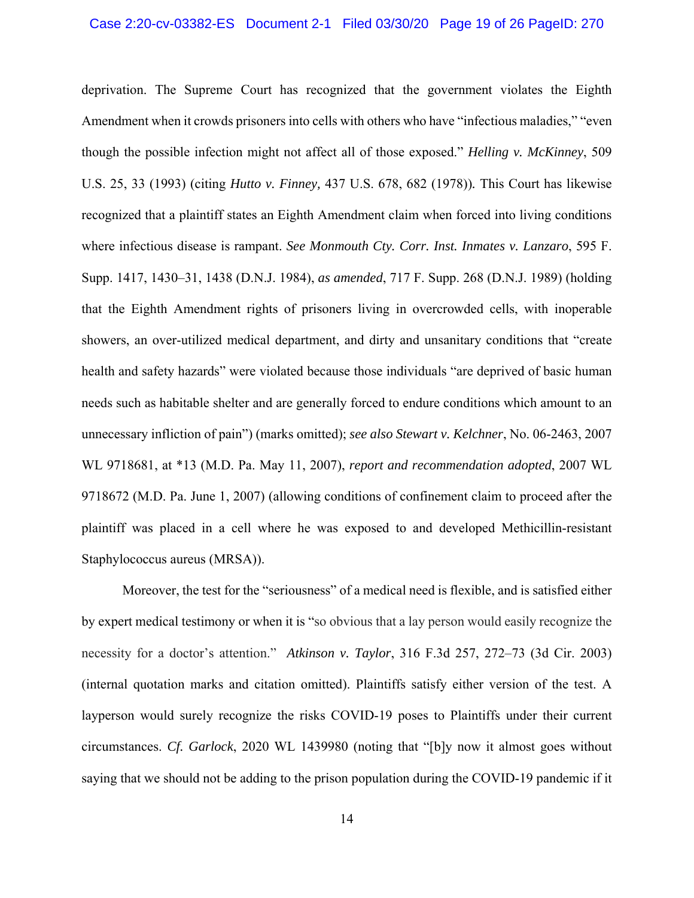deprivation. The Supreme Court has recognized that the government violates the Eighth Amendment when it crowds prisoners into cells with others who have "infectious maladies," "even though the possible infection might not affect all of those exposed." *Helling v. McKinney*, 509 U.S. 25, 33 (1993) (citing *Hutto v. Finney,* 437 U.S. 678, 682 (1978))*.* This Court has likewise recognized that a plaintiff states an Eighth Amendment claim when forced into living conditions where infectious disease is rampant. *See Monmouth Cty. Corr. Inst. Inmates v. Lanzaro*, 595 F. Supp. 1417, 1430–31, 1438 (D.N.J. 1984), *as amended*, 717 F. Supp. 268 (D.N.J. 1989) (holding that the Eighth Amendment rights of prisoners living in overcrowded cells, with inoperable showers, an over-utilized medical department, and dirty and unsanitary conditions that "create health and safety hazards" were violated because those individuals "are deprived of basic human needs such as habitable shelter and are generally forced to endure conditions which amount to an unnecessary infliction of pain") (marks omitted); *see also Stewart v. Kelchner*, No. 06-2463, 2007 WL 9718681, at \*13 (M.D. Pa. May 11, 2007), *report and recommendation adopted*, 2007 WL 9718672 (M.D. Pa. June 1, 2007) (allowing conditions of confinement claim to proceed after the plaintiff was placed in a cell where he was exposed to and developed Methicillin-resistant Staphylococcus aureus (MRSA)).

Moreover, the test for the "seriousness" of a medical need is flexible, and is satisfied either by expert medical testimony or when it is "so obvious that a lay person would easily recognize the necessity for a doctor's attention." *Atkinson v. Taylor*, 316 F.3d 257, 272–73 (3d Cir. 2003) (internal quotation marks and citation omitted). Plaintiffs satisfy either version of the test. A layperson would surely recognize the risks COVID-19 poses to Plaintiffs under their current circumstances. *Cf. Garlock*, 2020 WL 1439980 (noting that "[b]y now it almost goes without saying that we should not be adding to the prison population during the COVID-19 pandemic if it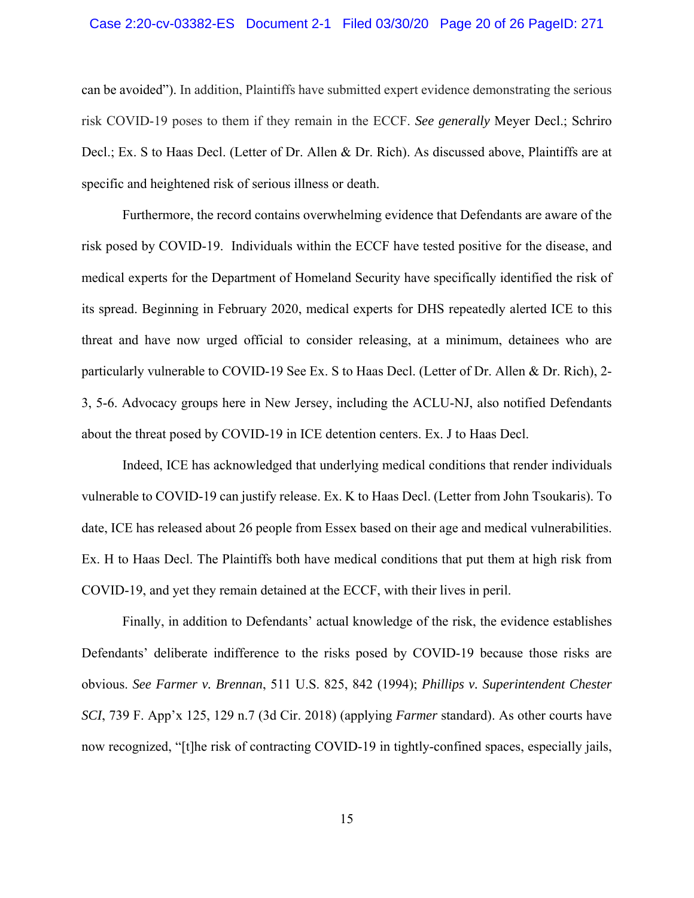## Case 2:20-cv-03382-ES Document 2-1 Filed 03/30/20 Page 20 of 26 PageID: 271

can be avoided"). In addition, Plaintiffs have submitted expert evidence demonstrating the serious risk COVID-19 poses to them if they remain in the ECCF. *See generally* Meyer Decl.; Schriro Decl.; Ex. S to Haas Decl. (Letter of Dr. Allen & Dr. Rich). As discussed above, Plaintiffs are at specific and heightened risk of serious illness or death.

Furthermore, the record contains overwhelming evidence that Defendants are aware of the risk posed by COVID-19. Individuals within the ECCF have tested positive for the disease, and medical experts for the Department of Homeland Security have specifically identified the risk of its spread. Beginning in February 2020, medical experts for DHS repeatedly alerted ICE to this threat and have now urged official to consider releasing, at a minimum, detainees who are particularly vulnerable to COVID-19 See Ex. S to Haas Decl. (Letter of Dr. Allen & Dr. Rich), 2- 3, 5-6. Advocacy groups here in New Jersey, including the ACLU-NJ, also notified Defendants about the threat posed by COVID-19 in ICE detention centers. Ex. J to Haas Decl.

Indeed, ICE has acknowledged that underlying medical conditions that render individuals vulnerable to COVID-19 can justify release. Ex. K to Haas Decl. (Letter from John Tsoukaris). To date, ICE has released about 26 people from Essex based on their age and medical vulnerabilities. Ex. H to Haas Decl. The Plaintiffs both have medical conditions that put them at high risk from COVID-19, and yet they remain detained at the ECCF, with their lives in peril.

Finally, in addition to Defendants' actual knowledge of the risk, the evidence establishes Defendants' deliberate indifference to the risks posed by COVID-19 because those risks are obvious. *See Farmer v. Brennan*, 511 U.S. 825, 842 (1994); *Phillips v. Superintendent Chester SCI*, 739 F. App'x 125, 129 n.7 (3d Cir. 2018) (applying *Farmer* standard). As other courts have now recognized, "[t]he risk of contracting COVID-19 in tightly-confined spaces, especially jails,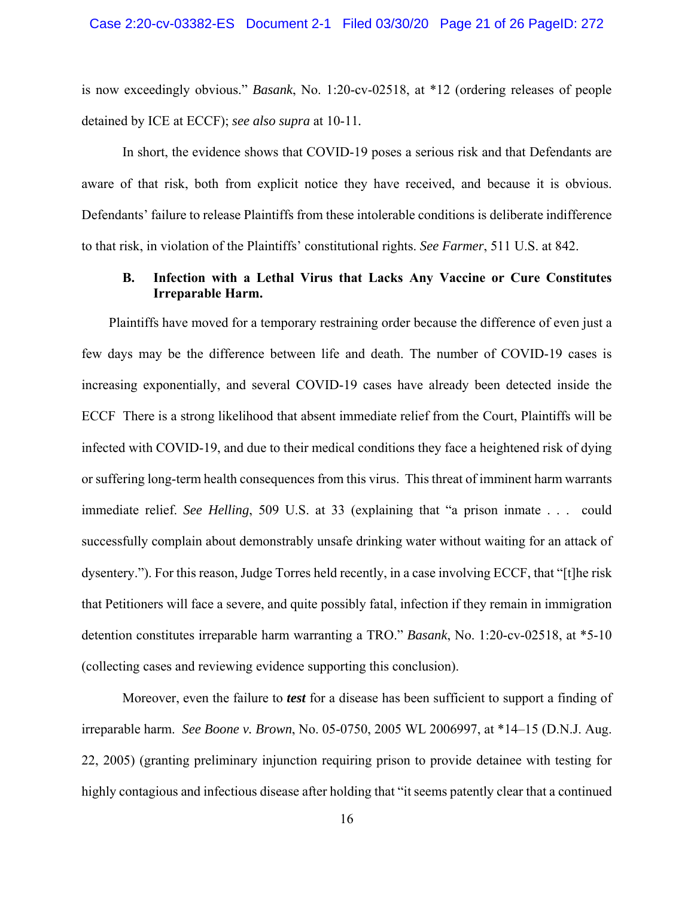is now exceedingly obvious." *Basank*, No. 1:20-cv-02518, at \*12 (ordering releases of people detained by ICE at ECCF); *see also supra* at 10-11*.*

In short, the evidence shows that COVID-19 poses a serious risk and that Defendants are aware of that risk, both from explicit notice they have received, and because it is obvious. Defendants' failure to release Plaintiffs from these intolerable conditions is deliberate indifference to that risk, in violation of the Plaintiffs' constitutional rights. *See Farmer*, 511 U.S. at 842.

## **B. Infection with a Lethal Virus that Lacks Any Vaccine or Cure Constitutes Irreparable Harm.**

 Plaintiffs have moved for a temporary restraining order because the difference of even just a few days may be the difference between life and death. The number of COVID-19 cases is increasing exponentially, and several COVID-19 cases have already been detected inside the ECCF There is a strong likelihood that absent immediate relief from the Court, Plaintiffs will be infected with COVID-19, and due to their medical conditions they face a heightened risk of dying or suffering long-term health consequences from this virus. This threat of imminent harm warrants immediate relief. *See Helling*, 509 U.S. at 33 (explaining that "a prison inmate . . . could successfully complain about demonstrably unsafe drinking water without waiting for an attack of dysentery."). For this reason, Judge Torres held recently, in a case involving ECCF, that "[t]he risk that Petitioners will face a severe, and quite possibly fatal, infection if they remain in immigration detention constitutes irreparable harm warranting a TRO." *Basank*, No. 1:20-cv-02518, at \*5-10 (collecting cases and reviewing evidence supporting this conclusion).

Moreover, even the failure to *test* for a disease has been sufficient to support a finding of irreparable harm. *See Boone v. Brown*, No. 05-0750, 2005 WL 2006997, at \*14–15 (D.N.J. Aug. 22, 2005) (granting preliminary injunction requiring prison to provide detainee with testing for highly contagious and infectious disease after holding that "it seems patently clear that a continued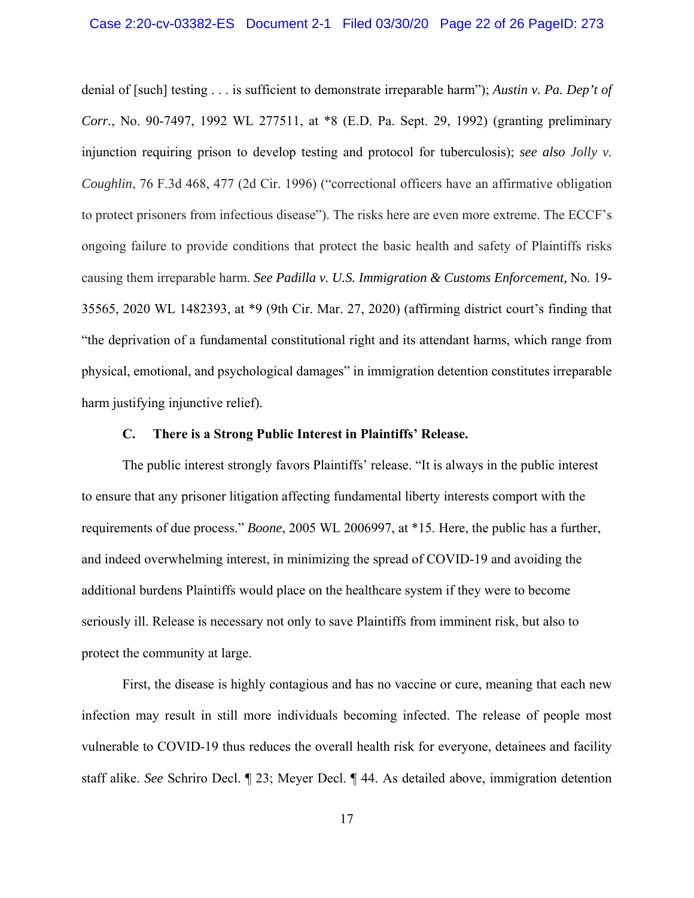denial of [such] testing . . . is sufficient to demonstrate irreparable harm"); *Austin v. Pa. Dep't of Corr.*, No. 90-7497, 1992 WL 277511, at \*8 (E.D. Pa. Sept. 29, 1992) (granting preliminary injunction requiring prison to develop testing and protocol for tuberculosis); *see also Jolly v. Coughlin*, 76 F.3d 468, 477 (2d Cir. 1996) ("correctional officers have an affirmative obligation to protect prisoners from infectious disease"). The risks here are even more extreme. The ECCF's ongoing failure to provide conditions that protect the basic health and safety of Plaintiffs risks causing them irreparable harm. *See Padilla v. U.S. Immigration & Customs Enforcement,* No. 19- 35565, 2020 WL 1482393, at \*9 (9th Cir. Mar. 27, 2020) (affirming district court's finding that "the deprivation of a fundamental constitutional right and its attendant harms, which range from physical, emotional, and psychological damages" in immigration detention constitutes irreparable harm justifying injunctive relief)*.*

## **C. There is a Strong Public Interest in Plaintiffs' Release.**

The public interest strongly favors Plaintiffs' release. "It is always in the public interest to ensure that any prisoner litigation affecting fundamental liberty interests comport with the requirements of due process." *Boone*, 2005 WL 2006997, at \*15. Here, the public has a further, and indeed overwhelming interest, in minimizing the spread of COVID-19 and avoiding the additional burdens Plaintiffs would place on the healthcare system if they were to become seriously ill. Release is necessary not only to save Plaintiffs from imminent risk, but also to protect the community at large.

First, the disease is highly contagious and has no vaccine or cure, meaning that each new infection may result in still more individuals becoming infected. The release of people most vulnerable to COVID-19 thus reduces the overall health risk for everyone, detainees and facility staff alike. *See* Schriro Decl. ¶ 23; Meyer Decl. ¶ 44. As detailed above, immigration detention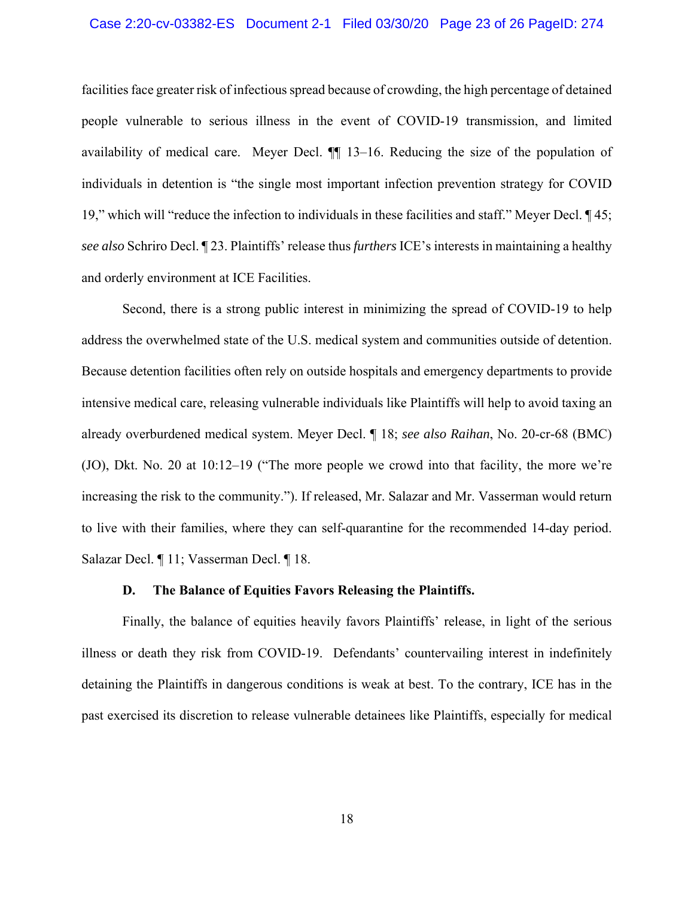## Case 2:20-cv-03382-ES Document 2-1 Filed 03/30/20 Page 23 of 26 PageID: 274

facilities face greater risk of infectious spread because of crowding, the high percentage of detained people vulnerable to serious illness in the event of COVID-19 transmission, and limited availability of medical care. Meyer Decl. ¶¶ 13–16. Reducing the size of the population of individuals in detention is "the single most important infection prevention strategy for COVID 19," which will "reduce the infection to individuals in these facilities and staff." Meyer Decl. ¶ 45; *see also* Schriro Decl. ¶ 23. Plaintiffs' release thus *furthers* ICE's interests in maintaining a healthy and orderly environment at ICE Facilities.

Second, there is a strong public interest in minimizing the spread of COVID-19 to help address the overwhelmed state of the U.S. medical system and communities outside of detention. Because detention facilities often rely on outside hospitals and emergency departments to provide intensive medical care, releasing vulnerable individuals like Plaintiffs will help to avoid taxing an already overburdened medical system. Meyer Decl. ¶ 18; *see also Raihan*, No. 20-cr-68 (BMC) (JO), Dkt. No. 20 at 10:12–19 ("The more people we crowd into that facility, the more we're increasing the risk to the community."). If released, Mr. Salazar and Mr. Vasserman would return to live with their families, where they can self-quarantine for the recommended 14-day period. Salazar Decl. ¶ 11; Vasserman Decl. ¶ 18.

## **D. The Balance of Equities Favors Releasing the Plaintiffs.**

Finally, the balance of equities heavily favors Plaintiffs' release, in light of the serious illness or death they risk from COVID-19. Defendants' countervailing interest in indefinitely detaining the Plaintiffs in dangerous conditions is weak at best. To the contrary, ICE has in the past exercised its discretion to release vulnerable detainees like Plaintiffs, especially for medical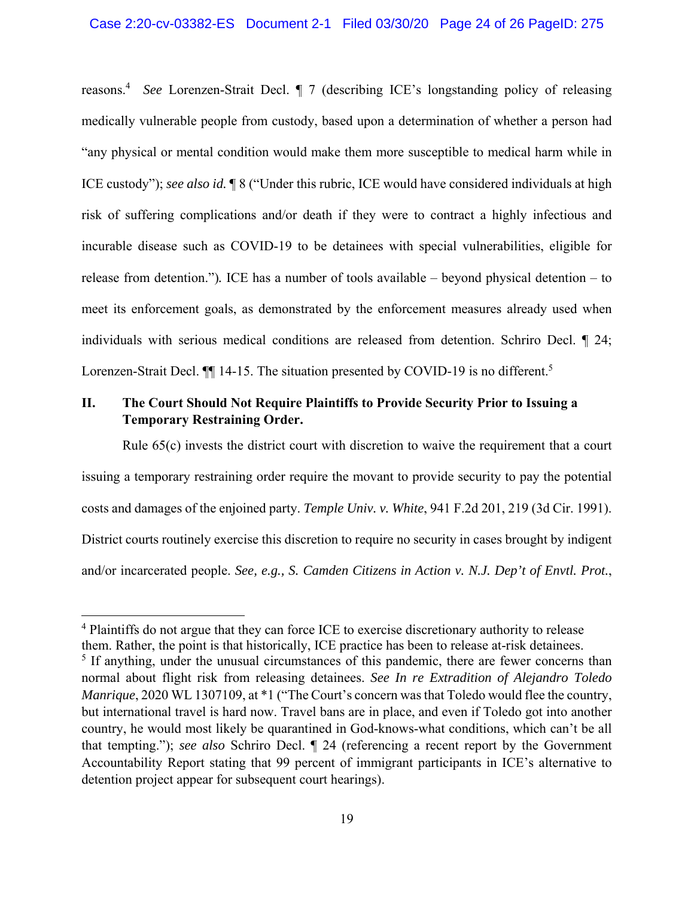reasons.4 *See* Lorenzen-Strait Decl. ¶ 7 (describing ICE's longstanding policy of releasing medically vulnerable people from custody, based upon a determination of whether a person had "any physical or mental condition would make them more susceptible to medical harm while in ICE custody"); *see also id.* ¶ 8 ("Under this rubric, ICE would have considered individuals at high risk of suffering complications and/or death if they were to contract a highly infectious and incurable disease such as COVID-19 to be detainees with special vulnerabilities, eligible for release from detention.")*.* ICE has a number of tools available – beyond physical detention – to meet its enforcement goals, as demonstrated by the enforcement measures already used when individuals with serious medical conditions are released from detention. Schriro Decl. ¶ 24; Lorenzen-Strait Decl. <sup>[1]</sup> 14-15. The situation presented by COVID-19 is no different.<sup>5</sup>

## **II. The Court Should Not Require Plaintiffs to Provide Security Prior to Issuing a Temporary Restraining Order.**

Rule 65(c) invests the district court with discretion to waive the requirement that a court issuing a temporary restraining order require the movant to provide security to pay the potential costs and damages of the enjoined party. *Temple Univ. v. White*, 941 F.2d 201, 219 (3d Cir. 1991). District courts routinely exercise this discretion to require no security in cases brought by indigent and/or incarcerated people. *See, e.g., S. Camden Citizens in Action v. N.J. Dep't of Envtl. Prot.*,

<sup>&</sup>lt;sup>4</sup> Plaintiffs do not argue that they can force ICE to exercise discretionary authority to release them. Rather, the point is that historically, ICE practice has been to release at-risk detainees.

<sup>&</sup>lt;sup>5</sup> If anything, under the unusual circumstances of this pandemic, there are fewer concerns than normal about flight risk from releasing detainees. *See In re Extradition of Alejandro Toledo Manrique*, 2020 WL 1307109, at \*1 ("The Court's concern was that Toledo would flee the country, but international travel is hard now. Travel bans are in place, and even if Toledo got into another country, he would most likely be quarantined in God-knows-what conditions, which can't be all that tempting."); *see also* Schriro Decl. ¶ 24 (referencing a recent report by the Government Accountability Report stating that 99 percent of immigrant participants in ICE's alternative to detention project appear for subsequent court hearings).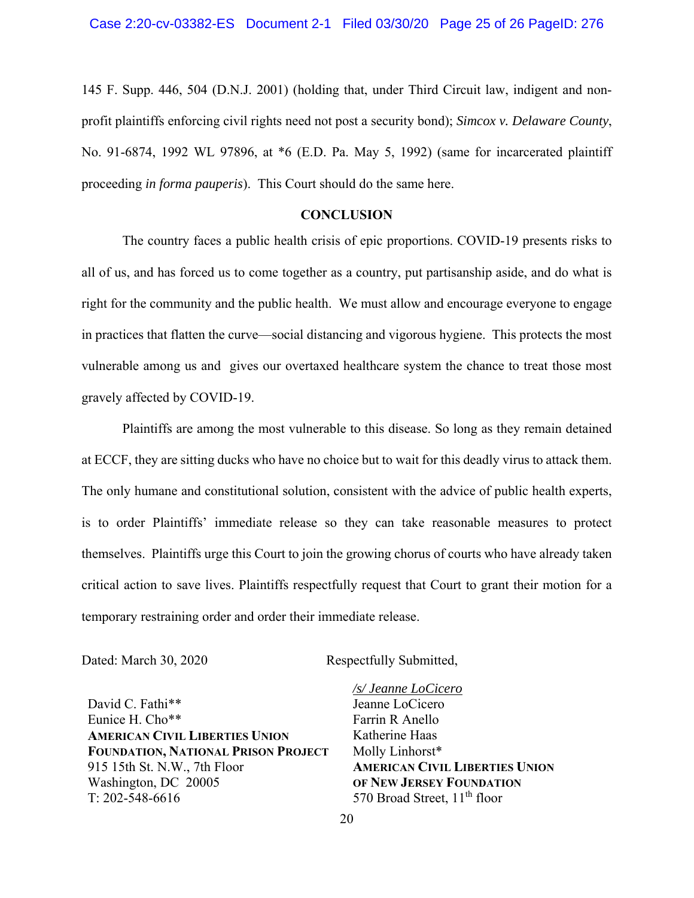145 F. Supp. 446, 504 (D.N.J. 2001) (holding that, under Third Circuit law, indigent and nonprofit plaintiffs enforcing civil rights need not post a security bond); *Simcox v. Delaware County*, No. 91-6874, 1992 WL 97896, at \*6 (E.D. Pa. May 5, 1992) (same for incarcerated plaintiff proceeding *in forma pauperis*). This Court should do the same here.

## **CONCLUSION**

The country faces a public health crisis of epic proportions. COVID-19 presents risks to all of us, and has forced us to come together as a country, put partisanship aside, and do what is right for the community and the public health. We must allow and encourage everyone to engage in practices that flatten the curve—social distancing and vigorous hygiene. This protects the most vulnerable among us and gives our overtaxed healthcare system the chance to treat those most gravely affected by COVID-19.

Plaintiffs are among the most vulnerable to this disease. So long as they remain detained at ECCF, they are sitting ducks who have no choice but to wait for this deadly virus to attack them. The only humane and constitutional solution, consistent with the advice of public health experts, is to order Plaintiffs' immediate release so they can take reasonable measures to protect themselves. Plaintiffs urge this Court to join the growing chorus of courts who have already taken critical action to save lives. Plaintiffs respectfully request that Court to grant their motion for a temporary restraining order and order their immediate release.

Dated: March 30, 2020 Respectfully Submitted,

David C. Fathi\*\* Eunice H. Cho\*\* **AMERICAN CIVIL LIBERTIES UNION FOUNDATION, NATIONAL PRISON PROJECT** 915 15th St. N.W., 7th Floor Washington, DC 20005 T: 202-548-6616

*/s/ Jeanne LoCicero*  Jeanne LoCicero Farrin R Anello Katherine Haas Molly Linhorst\* **AMERICAN CIVIL LIBERTIES UNION OF NEW JERSEY FOUNDATION** 570 Broad Street,  $11<sup>th</sup>$  floor